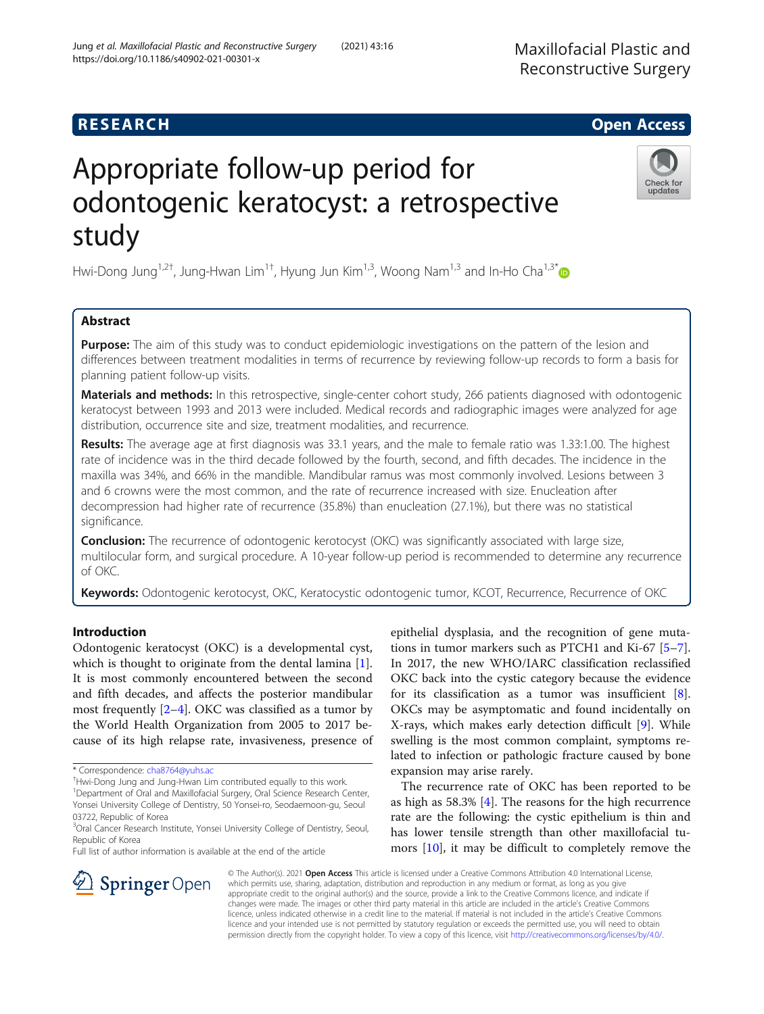## R E S EAR CH Open Access

# Appropriate follow-up period for odontogenic keratocyst: a retrospective study

Hwi-Dong Jung<sup>1,2†</sup>, Jung-Hwan Lim<sup>1†</sup>, Hyung Jun Kim<sup>1,3</sup>, Woong Nam<sup>1,3</sup> and In-Ho Cha<sup>1,3\*</sup>

## Abstract

**Purpose:** The aim of this study was to conduct epidemiologic investigations on the pattern of the lesion and differences between treatment modalities in terms of recurrence by reviewing follow-up records to form a basis for planning patient follow-up visits.

Materials and methods: In this retrospective, single-center cohort study, 266 patients diagnosed with odontogenic keratocyst between 1993 and 2013 were included. Medical records and radiographic images were analyzed for age distribution, occurrence site and size, treatment modalities, and recurrence.

Results: The average age at first diagnosis was 33.1 years, and the male to female ratio was 1.33:1.00. The highest rate of incidence was in the third decade followed by the fourth, second, and fifth decades. The incidence in the maxilla was 34%, and 66% in the mandible. Mandibular ramus was most commonly involved. Lesions between 3 and 6 crowns were the most common, and the rate of recurrence increased with size. Enucleation after decompression had higher rate of recurrence (35.8%) than enucleation (27.1%), but there was no statistical significance.

**Conclusion:** The recurrence of odontogenic kerotocyst (OKC) was significantly associated with large size, multilocular form, and surgical procedure. A 10-year follow-up period is recommended to determine any recurrence of OKC.

Keywords: Odontogenic kerotocyst, OKC, Keratocystic odontogenic tumor, KCOT, Recurrence, Recurrence of OKC

## Introduction

Odontogenic keratocyst (OKC) is a developmental cyst, which is thought to originate from the dental lamina [\[1](#page-5-0)]. It is most commonly encountered between the second and fifth decades, and affects the posterior mandibular most frequently [[2](#page-5-0)–[4](#page-5-0)]. OKC was classified as a tumor by the World Health Organization from 2005 to 2017 because of its high relapse rate, invasiveness, presence of

 $\Delta$  Springer Open

Hwi-Dong Jung and Jung-Hwan Lim contributed equally to this work.

Full list of author information is available at the end of the article

epithelial dysplasia, and the recognition of gene mutations in tumor markers such as PTCH1 and Ki-67 [\[5](#page-5-0)–[7](#page-5-0)]. In 2017, the new WHO/IARC classification reclassified OKC back into the cystic category because the evidence for its classification as a tumor was insufficient [\[8](#page-5-0)]. OKCs may be asymptomatic and found incidentally on X-rays, which makes early detection difficult [[9\]](#page-5-0). While swelling is the most common complaint, symptoms related to infection or pathologic fracture caused by bone expansion may arise rarely.

The recurrence rate of OKC has been reported to be as high as 58.3% [[4\]](#page-5-0). The reasons for the high recurrence rate are the following: the cystic epithelium is thin and has lower tensile strength than other maxillofacial tumors [[10](#page-5-0)], it may be difficult to completely remove the

© The Author(s). 2021 Open Access This article is licensed under a Creative Commons Attribution 4.0 International License, which permits use, sharing, adaptation, distribution and reproduction in any medium or format, as long as you give appropriate credit to the original author(s) and the source, provide a link to the Creative Commons licence, and indicate if changes were made. The images or other third party material in this article are included in the article's Creative Commons licence, unless indicated otherwise in a credit line to the material. If material is not included in the article's Creative Commons licence and your intended use is not permitted by statutory regulation or exceeds the permitted use, you will need to obtain permission directly from the copyright holder. To view a copy of this licence, visit <http://creativecommons.org/licenses/by/4.0/>.





<sup>\*</sup> Correspondence: [cha8764@yuhs.ac](mailto:cha8764@yuhs.ac) †

<sup>&</sup>lt;sup>1</sup>Department of Oral and Maxillofacial Surgery, Oral Science Research Center, Yonsei University College of Dentistry, 50 Yonsei-ro, Seodaemoon-gu, Seoul 03722, Republic of Korea

<sup>&</sup>lt;sup>3</sup>Oral Cancer Research Institute, Yonsei University College of Dentistry, Seoul, Republic of Korea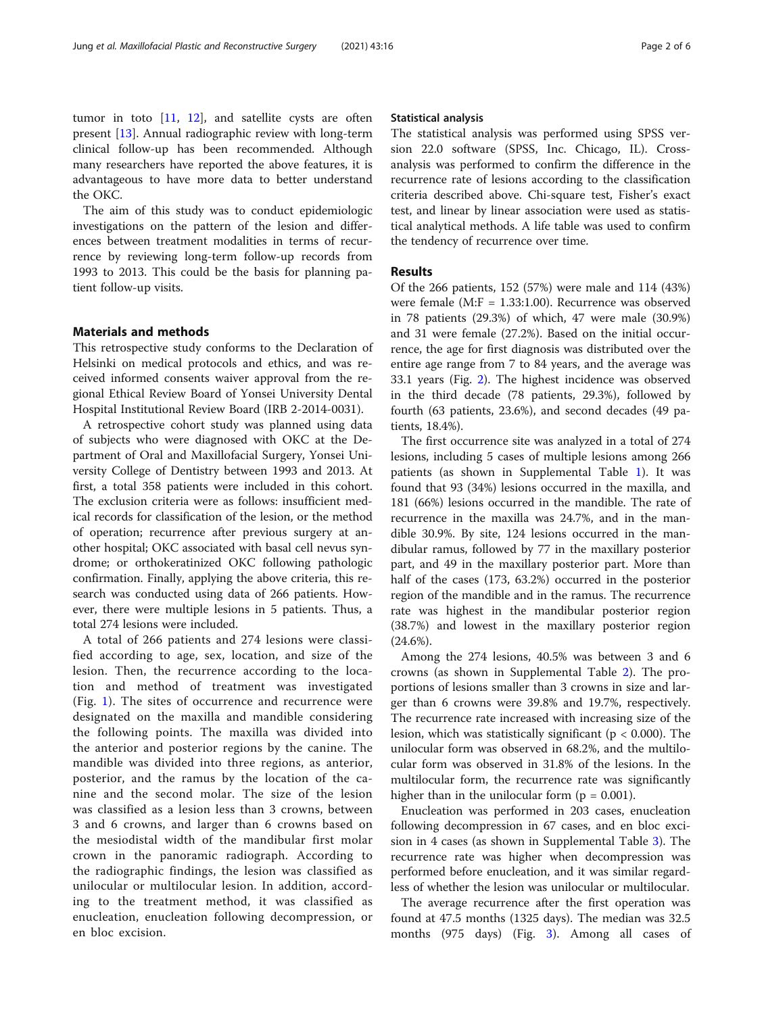tumor in toto [\[11,](#page-5-0) [12\]](#page-5-0), and satellite cysts are often present [\[13\]](#page-5-0). Annual radiographic review with long-term clinical follow-up has been recommended. Although many researchers have reported the above features, it is advantageous to have more data to better understand the OKC.

The aim of this study was to conduct epidemiologic investigations on the pattern of the lesion and differences between treatment modalities in terms of recurrence by reviewing long-term follow-up records from 1993 to 2013. This could be the basis for planning patient follow-up visits.

## Materials and methods

This retrospective study conforms to the Declaration of Helsinki on medical protocols and ethics, and was received informed consents waiver approval from the regional Ethical Review Board of Yonsei University Dental Hospital Institutional Review Board (IRB 2-2014-0031).

A retrospective cohort study was planned using data of subjects who were diagnosed with OKC at the Department of Oral and Maxillofacial Surgery, Yonsei University College of Dentistry between 1993 and 2013. At first, a total 358 patients were included in this cohort. The exclusion criteria were as follows: insufficient medical records for classification of the lesion, or the method of operation; recurrence after previous surgery at another hospital; OKC associated with basal cell nevus syndrome; or orthokeratinized OKC following pathologic confirmation. Finally, applying the above criteria, this research was conducted using data of 266 patients. However, there were multiple lesions in 5 patients. Thus, a total 274 lesions were included.

A total of 266 patients and 274 lesions were classified according to age, sex, location, and size of the lesion. Then, the recurrence according to the location and method of treatment was investigated (Fig. [1](#page-2-0)). The sites of occurrence and recurrence were designated on the maxilla and mandible considering the following points. The maxilla was divided into the anterior and posterior regions by the canine. The mandible was divided into three regions, as anterior, posterior, and the ramus by the location of the canine and the second molar. The size of the lesion was classified as a lesion less than 3 crowns, between 3 and 6 crowns, and larger than 6 crowns based on the mesiodistal width of the mandibular first molar crown in the panoramic radiograph. According to the radiographic findings, the lesion was classified as unilocular or multilocular lesion. In addition, according to the treatment method, it was classified as enucleation, enucleation following decompression, or en bloc excision.

## Statistical analysis

The statistical analysis was performed using SPSS version 22.0 software (SPSS, Inc. Chicago, IL). Crossanalysis was performed to confirm the difference in the recurrence rate of lesions according to the classification criteria described above. Chi-square test, Fisher's exact test, and linear by linear association were used as statistical analytical methods. A life table was used to confirm the tendency of recurrence over time.

## Results

Of the 266 patients, 152 (57%) were male and 114 (43%) were female (M:F = 1.33:1.00). Recurrence was observed in 78 patients (29.3%) of which, 47 were male (30.9%) and 31 were female (27.2%). Based on the initial occurrence, the age for first diagnosis was distributed over the entire age range from 7 to 84 years, and the average was 33.1 years (Fig. [2](#page-3-0)). The highest incidence was observed in the third decade (78 patients, 29.3%), followed by fourth (63 patients, 23.6%), and second decades (49 patients, 18.4%).

The first occurrence site was analyzed in a total of 274 lesions, including 5 cases of multiple lesions among 266 patients (as shown in Supplemental Table [1](#page-4-0)). It was found that 93 (34%) lesions occurred in the maxilla, and 181 (66%) lesions occurred in the mandible. The rate of recurrence in the maxilla was 24.7%, and in the mandible 30.9%. By site, 124 lesions occurred in the mandibular ramus, followed by 77 in the maxillary posterior part, and 49 in the maxillary posterior part. More than half of the cases (173, 63.2%) occurred in the posterior region of the mandible and in the ramus. The recurrence rate was highest in the mandibular posterior region (38.7%) and lowest in the maxillary posterior region  $(24.6\%)$ .

Among the 274 lesions, 40.5% was between 3 and 6 crowns (as shown in Supplemental Table [2](#page-4-0)). The proportions of lesions smaller than 3 crowns in size and larger than 6 crowns were 39.8% and 19.7%, respectively. The recurrence rate increased with increasing size of the lesion, which was statistically significant ( $p < 0.000$ ). The unilocular form was observed in 68.2%, and the multilocular form was observed in 31.8% of the lesions. In the multilocular form, the recurrence rate was significantly higher than in the unilocular form  $(p = 0.001)$ .

Enucleation was performed in 203 cases, enucleation following decompression in 67 cases, and en bloc excision in 4 cases (as shown in Supplemental Table [3\)](#page-4-0). The recurrence rate was higher when decompression was performed before enucleation, and it was similar regardless of whether the lesion was unilocular or multilocular.

The average recurrence after the first operation was found at 47.5 months (1325 days). The median was 32.5 months (975 days) (Fig. [3\)](#page-3-0). Among all cases of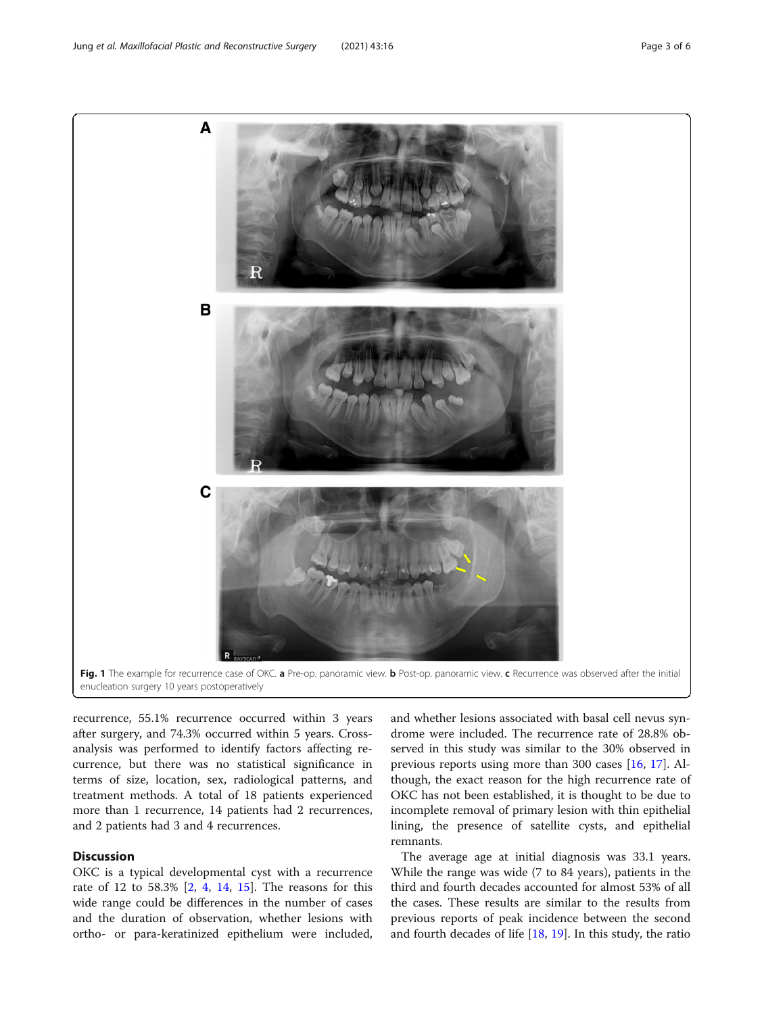<span id="page-2-0"></span>

recurrence, 55.1% recurrence occurred within 3 years after surgery, and 74.3% occurred within 5 years. Crossanalysis was performed to identify factors affecting recurrence, but there was no statistical significance in terms of size, location, sex, radiological patterns, and treatment methods. A total of 18 patients experienced more than 1 recurrence, 14 patients had 2 recurrences, and 2 patients had 3 and 4 recurrences.

## **Discussion**

OKC is a typical developmental cyst with a recurrence rate of 12 to 58.3% [\[2](#page-5-0), [4,](#page-5-0) [14,](#page-5-0) [15](#page-5-0)]. The reasons for this wide range could be differences in the number of cases and the duration of observation, whether lesions with ortho- or para-keratinized epithelium were included,

and whether lesions associated with basal cell nevus syndrome were included. The recurrence rate of 28.8% observed in this study was similar to the 30% observed in previous reports using more than 300 cases [[16,](#page-5-0) [17\]](#page-5-0). Although, the exact reason for the high recurrence rate of OKC has not been established, it is thought to be due to incomplete removal of primary lesion with thin epithelial lining, the presence of satellite cysts, and epithelial remnants.

The average age at initial diagnosis was 33.1 years. While the range was wide (7 to 84 years), patients in the third and fourth decades accounted for almost 53% of all the cases. These results are similar to the results from previous reports of peak incidence between the second and fourth decades of life [[18,](#page-5-0) [19\]](#page-5-0). In this study, the ratio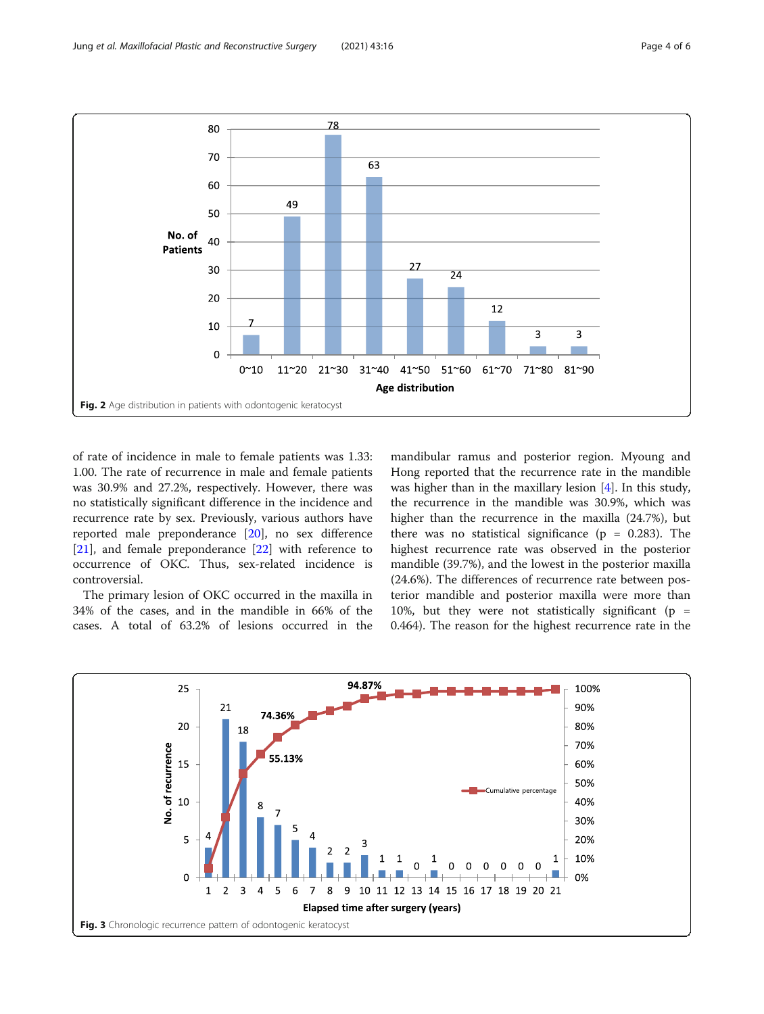<span id="page-3-0"></span>

of rate of incidence in male to female patients was 1.33: 1.00. The rate of recurrence in male and female patients was 30.9% and 27.2%, respectively. However, there was no statistically significant difference in the incidence and recurrence rate by sex. Previously, various authors have reported male preponderance [\[20](#page-5-0)], no sex difference [[21\]](#page-5-0), and female preponderance [[22](#page-5-0)] with reference to occurrence of OKC. Thus, sex-related incidence is controversial.

The primary lesion of OKC occurred in the maxilla in 34% of the cases, and in the mandible in 66% of the cases. A total of 63.2% of lesions occurred in the mandibular ramus and posterior region. Myoung and Hong reported that the recurrence rate in the mandible was higher than in the maxillary lesion [\[4](#page-5-0)]. In this study, the recurrence in the mandible was 30.9%, which was higher than the recurrence in the maxilla (24.7%), but there was no statistical significance ( $p = 0.283$ ). The highest recurrence rate was observed in the posterior mandible (39.7%), and the lowest in the posterior maxilla (24.6%). The differences of recurrence rate between posterior mandible and posterior maxilla were more than 10%, but they were not statistically significant ( $p =$ 0.464). The reason for the highest recurrence rate in the

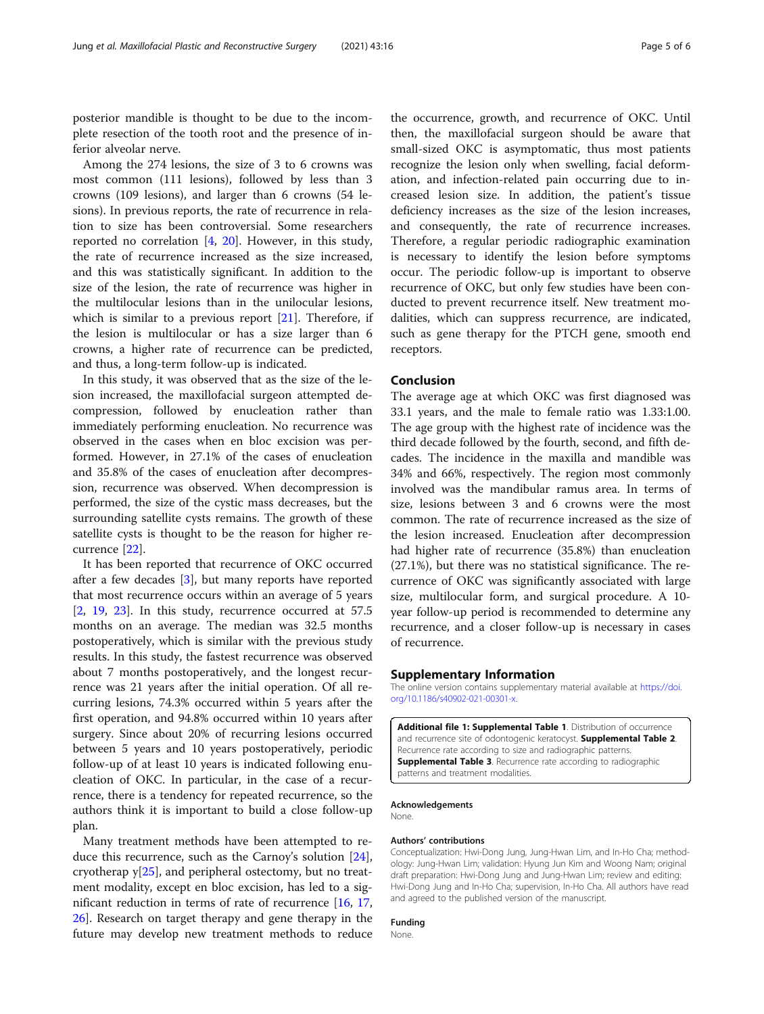<span id="page-4-0"></span>posterior mandible is thought to be due to the incomplete resection of the tooth root and the presence of inferior alveolar nerve.

Among the 274 lesions, the size of 3 to 6 crowns was most common (111 lesions), followed by less than 3 crowns (109 lesions), and larger than 6 crowns (54 lesions). In previous reports, the rate of recurrence in relation to size has been controversial. Some researchers reported no correlation [\[4](#page-5-0), [20](#page-5-0)]. However, in this study, the rate of recurrence increased as the size increased, and this was statistically significant. In addition to the size of the lesion, the rate of recurrence was higher in the multilocular lesions than in the unilocular lesions, which is similar to a previous report [\[21](#page-5-0)]. Therefore, if the lesion is multilocular or has a size larger than 6 crowns, a higher rate of recurrence can be predicted, and thus, a long-term follow-up is indicated.

In this study, it was observed that as the size of the lesion increased, the maxillofacial surgeon attempted decompression, followed by enucleation rather than immediately performing enucleation. No recurrence was observed in the cases when en bloc excision was performed. However, in 27.1% of the cases of enucleation and 35.8% of the cases of enucleation after decompression, recurrence was observed. When decompression is performed, the size of the cystic mass decreases, but the surrounding satellite cysts remains. The growth of these satellite cysts is thought to be the reason for higher recurrence [\[22](#page-5-0)].

It has been reported that recurrence of OKC occurred after a few decades [\[3](#page-5-0)], but many reports have reported that most recurrence occurs within an average of 5 years  $[2, 19, 23]$  $[2, 19, 23]$  $[2, 19, 23]$  $[2, 19, 23]$  $[2, 19, 23]$  $[2, 19, 23]$ . In this study, recurrence occurred at 57.5 months on an average. The median was 32.5 months postoperatively, which is similar with the previous study results. In this study, the fastest recurrence was observed about 7 months postoperatively, and the longest recurrence was 21 years after the initial operation. Of all recurring lesions, 74.3% occurred within 5 years after the first operation, and 94.8% occurred within 10 years after surgery. Since about 20% of recurring lesions occurred between 5 years and 10 years postoperatively, periodic follow-up of at least 10 years is indicated following enucleation of OKC. In particular, in the case of a recurrence, there is a tendency for repeated recurrence, so the authors think it is important to build a close follow-up plan.

Many treatment methods have been attempted to reduce this recurrence, such as the Carnoy's solution [\[24](#page-5-0)], cryotherap y[[25\]](#page-5-0), and peripheral ostectomy, but no treatment modality, except en bloc excision, has led to a significant reduction in terms of rate of recurrence [\[16](#page-5-0), [17](#page-5-0), [26\]](#page-5-0). Research on target therapy and gene therapy in the future may develop new treatment methods to reduce

the occurrence, growth, and recurrence of OKC. Until then, the maxillofacial surgeon should be aware that small-sized OKC is asymptomatic, thus most patients recognize the lesion only when swelling, facial deformation, and infection-related pain occurring due to increased lesion size. In addition, the patient's tissue deficiency increases as the size of the lesion increases, and consequently, the rate of recurrence increases. Therefore, a regular periodic radiographic examination is necessary to identify the lesion before symptoms occur. The periodic follow-up is important to observe recurrence of OKC, but only few studies have been conducted to prevent recurrence itself. New treatment modalities, which can suppress recurrence, are indicated, such as gene therapy for the PTCH gene, smooth end receptors.

#### Conclusion

The average age at which OKC was first diagnosed was 33.1 years, and the male to female ratio was 1.33:1.00. The age group with the highest rate of incidence was the third decade followed by the fourth, second, and fifth decades. The incidence in the maxilla and mandible was 34% and 66%, respectively. The region most commonly involved was the mandibular ramus area. In terms of size, lesions between 3 and 6 crowns were the most common. The rate of recurrence increased as the size of the lesion increased. Enucleation after decompression had higher rate of recurrence (35.8%) than enucleation (27.1%), but there was no statistical significance. The recurrence of OKC was significantly associated with large size, multilocular form, and surgical procedure. A 10 year follow-up period is recommended to determine any recurrence, and a closer follow-up is necessary in cases of recurrence.

## Supplementary Information

The online version contains supplementary material available at [https://doi.](https://doi.org/10.1186/s40902-021-00301-x) [org/10.1186/s40902-021-00301-x](https://doi.org/10.1186/s40902-021-00301-x).

Additional file 1: Supplemental Table 1. Distribution of occurrence and recurrence site of odontogenic keratocyst. Supplemental Table 2. Recurrence rate according to size and radiographic patterns. **Supplemental Table 3.** Recurrence rate according to radiographic patterns and treatment modalities.

Acknowledgements None.

#### Authors' contributions

Conceptualization: Hwi-Dong Jung, Jung-Hwan Lim, and In-Ho Cha; methodology: Jung-Hwan Lim; validation: Hyung Jun Kim and Woong Nam; original draft preparation: Hwi-Dong Jung and Jung-Hwan Lim; review and editing: Hwi-Dong Jung and In-Ho Cha; supervision, In-Ho Cha. All authors have read and agreed to the published version of the manuscript.

## Funding

None.